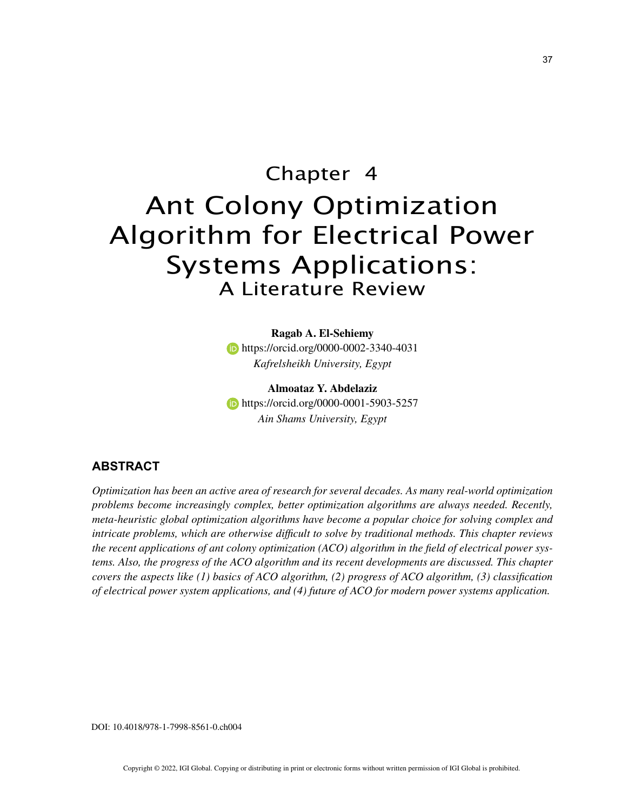# Chapter 4 Ant Colony Optimization Algorithm for Electrical Power Systems Applications: A Literature Review

**Ragab A. El-Sehiemy b** https://orcid.org/0000-0002-3340-4031 *Kafrelsheikh University, Egypt*

**Almoataz Y. Abdelaziz https://orcid.org/0000-0001-5903-5257** *Ain Shams University, Egypt*

### **ABSTRACT**

*Optimization has been an active area of research for several decades. As many real-world optimization problems become increasingly complex, better optimization algorithms are always needed. Recently, meta-heuristic global optimization algorithms have become a popular choice for solving complex and intricate problems, which are otherwise difficult to solve by traditional methods. This chapter reviews the recent applications of ant colony optimization (ACO) algorithm in the field of electrical power systems. Also, the progress of the ACO algorithm and its recent developments are discussed. This chapter covers the aspects like (1) basics of ACO algorithm, (2) progress of ACO algorithm, (3) classification of electrical power system applications, and (4) future of ACO for modern power systems application.*

DOI: 10.4018/978-1-7998-8561-0.ch004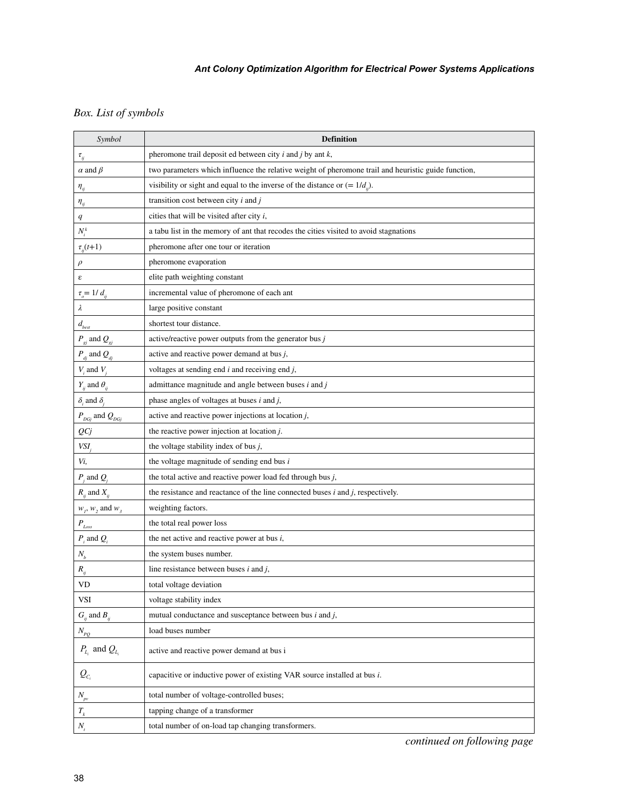# *Box. List of symbols*

| Symbol                                    | <b>Definition</b>                                                                                   |
|-------------------------------------------|-----------------------------------------------------------------------------------------------------|
| $\tau_{_{ij}}$                            | pheromone trail deposit ed between city $i$ and $j$ by ant $k$ ,                                    |
| $\alpha$ and $\beta$                      | two parameters which influence the relative weight of pheromone trail and heuristic guide function, |
| $\eta_{ii}$                               | visibility or sight and equal to the inverse of the distance or $(= 1/dij)$ .                       |
| $\eta_{ij}$                               | transition cost between city $i$ and $j$                                                            |
| q                                         | cities that will be visited after city $i$ ,                                                        |
| $N_i^k$                                   | a tabu list in the memory of ant that recodes the cities visited to avoid stagnations               |
| $\tau_{ii}(t+1)$                          | pheromone after one tour or iteration                                                               |
| $\rho$                                    | pheromone evaporation                                                                               |
| ε                                         | elite path weighting constant                                                                       |
| $\tau_{o} = 1/d_{ij}$                     | incremental value of pheromone of each ant                                                          |
| λ                                         | large positive constant                                                                             |
| $d_{\rm best}$                            | shortest tour distance.                                                                             |
| $P_{\text{g}j}$ and $Q_{\text{g}j}$       | active/reactive power outputs from the generator bus $j$                                            |
| $P_{dj}$ and $Q_{dj}$                     | active and reactive power demand at bus $j$ ,                                                       |
| $V_i$ and $V_j$                           | voltages at sending end $i$ and receiving end $j$ ,                                                 |
| $Y_{ij}$ and $\theta_{ij}$                | admittance magnitude and angle between buses $i$ and $j$                                            |
| $\delta_i$ and $\delta_i$                 | phase angles of voltages at buses $i$ and $j$ ,                                                     |
| $P_{DGj}$ and $Q_{DGj}$                   | active and reactive power injections at location $j$ ,                                              |
| QCj                                       | the reactive power injection at location j.                                                         |
| VSI,                                      | the voltage stability index of bus $j$ ,                                                            |
| Vi,                                       | the voltage magnitude of sending end bus $i$                                                        |
| $P_j$ and $Q_i$                           | the total active and reactive power load fed through bus $j$ ,                                      |
| $R_{ij}$ and $X_{ij}$                     | the resistance and reactance of the line connected buses $i$ and $j$ , respectively.                |
| $w_1$ , $w_2$ and $w_3$                   | weighting factors.                                                                                  |
| $P_{\rm\scriptscriptstyle Loss}$          | the total real power loss                                                                           |
| $\boldsymbol{P}_i$ and $\boldsymbol{Q}_i$ | the net active and reactive power at bus $i$ ,                                                      |
| ${\cal N}_b$                              | the system buses number.                                                                            |
| $R_{ij}$                                  | line resistance between buses $i$ and $j$ ,                                                         |
| VD                                        | total voltage deviation                                                                             |
| <b>VSI</b>                                | voltage stability index                                                                             |
| $G_{ij}$ and $B_{ij}$                     | mutual conductance and susceptance between bus $i$ and $j$ ,                                        |
| $N_{PQ}$                                  | load buses number                                                                                   |
| $P_{L_i}$ and $Q_{L_i}$                   | active and reactive power demand at bus i                                                           |
| $Q_{c_i}$                                 | capacitive or inductive power of existing VAR source installed at bus <i>i</i> .                    |
| $N_{_{pv}}$                               | total number of voltage-controlled buses;                                                           |
| ${\cal T}_k$                              | tapping change of a transformer                                                                     |
| $N_{t}$                                   | total number of on-load tap changing transformers.                                                  |

*continued on following page*